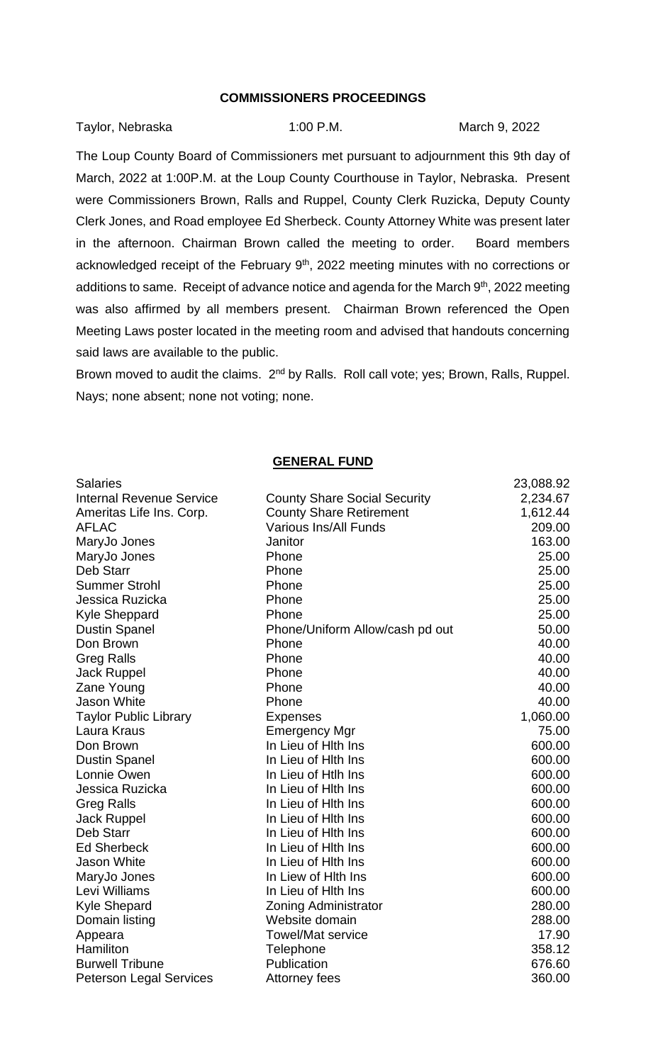## **COMMISSIONERS PROCEEDINGS**

Taylor, Nebraska 1:00 P.M. March 9, 2022

The Loup County Board of Commissioners met pursuant to adjournment this 9th day of March, 2022 at 1:00P.M. at the Loup County Courthouse in Taylor, Nebraska. Present were Commissioners Brown, Ralls and Ruppel, County Clerk Ruzicka, Deputy County Clerk Jones, and Road employee Ed Sherbeck. County Attorney White was present later in the afternoon. Chairman Brown called the meeting to order. Board members acknowledged receipt of the February  $9<sup>th</sup>$ , 2022 meeting minutes with no corrections or additions to same. Receipt of advance notice and agenda for the March 9<sup>th</sup>, 2022 meeting was also affirmed by all members present. Chairman Brown referenced the Open Meeting Laws poster located in the meeting room and advised that handouts concerning said laws are available to the public.

Brown moved to audit the claims. 2<sup>nd</sup> by Ralls. Roll call vote; yes; Brown, Ralls, Ruppel. Nays; none absent; none not voting; none.

## **GENERAL FUND**

| <b>Salaries</b>                 |                                     | 23,088.92 |
|---------------------------------|-------------------------------------|-----------|
| <b>Internal Revenue Service</b> | <b>County Share Social Security</b> | 2,234.67  |
| Ameritas Life Ins. Corp.        | <b>County Share Retirement</b>      | 1,612.44  |
| <b>AFLAC</b>                    | <b>Various Ins/All Funds</b>        | 209.00    |
| MaryJo Jones                    | Janitor                             | 163.00    |
| MaryJo Jones                    | Phone                               | 25.00     |
| Deb Starr                       | Phone                               | 25.00     |
| <b>Summer Strohl</b>            | Phone                               | 25.00     |
| Jessica Ruzicka                 | Phone                               | 25.00     |
| <b>Kyle Sheppard</b>            | Phone                               | 25.00     |
| <b>Dustin Spanel</b>            | Phone/Uniform Allow/cash pd out     | 50.00     |
| Don Brown                       | Phone                               | 40.00     |
| <b>Greg Ralls</b>               | Phone                               | 40.00     |
| Jack Ruppel                     | Phone                               | 40.00     |
| Zane Young                      | Phone                               | 40.00     |
| Jason White                     | Phone                               | 40.00     |
| <b>Taylor Public Library</b>    | <b>Expenses</b>                     | 1,060.00  |
| Laura Kraus                     | <b>Emergency Mgr</b>                | 75.00     |
| Don Brown                       | In Lieu of Hith Ins                 | 600.00    |
| <b>Dustin Spanel</b>            | In Lieu of Hith Ins                 | 600.00    |
| Lonnie Owen                     | In Lieu of Htlh Ins                 | 600.00    |
| Jessica Ruzicka                 | In Lieu of Hith Ins                 | 600.00    |
| <b>Greg Ralls</b>               | In Lieu of Hith Ins                 | 600.00    |
| Jack Ruppel                     | In Lieu of Hith Ins                 | 600.00    |
| Deb Starr                       | In Lieu of Hith Ins                 | 600.00    |
| <b>Ed Sherbeck</b>              | In Lieu of Hith Ins                 | 600.00    |
| <b>Jason White</b>              | In Lieu of Hith Ins                 | 600.00    |
| MaryJo Jones                    | In Liew of Hith Ins                 | 600.00    |
| Levi Williams                   | In Lieu of Hith Ins                 | 600.00    |
| <b>Kyle Shepard</b>             | <b>Zoning Administrator</b>         | 280.00    |
| Domain listing                  | Website domain                      | 288.00    |
| Appeara                         | <b>Towel/Mat service</b>            | 17.90     |
| Hamiliton                       | Telephone                           | 358.12    |
| <b>Burwell Tribune</b>          | Publication                         | 676.60    |
| <b>Peterson Legal Services</b>  | Attorney fees                       | 360.00    |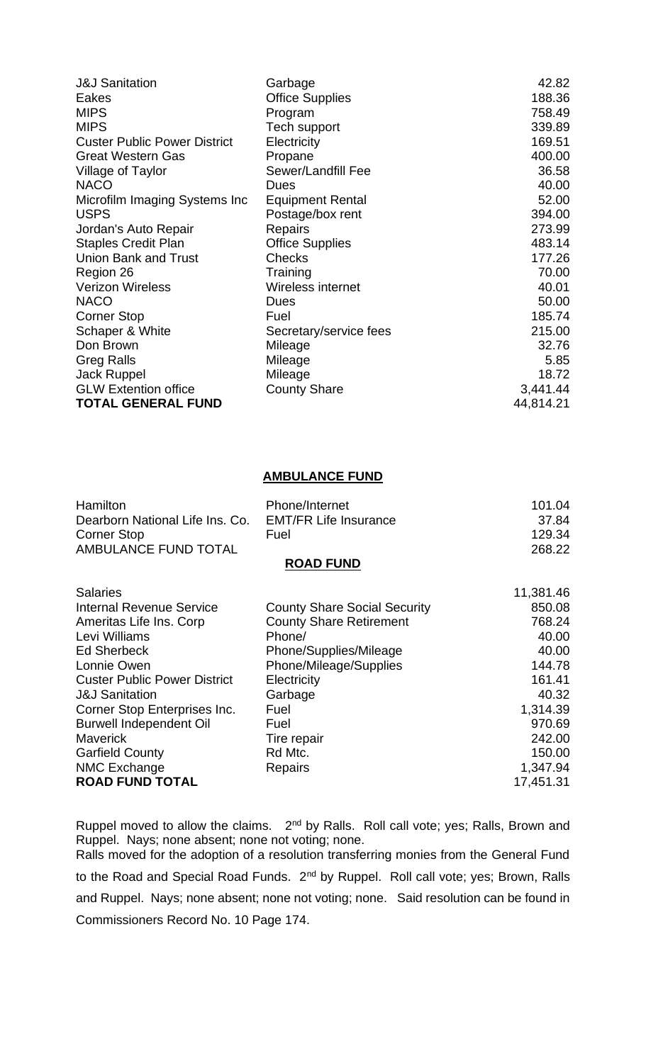| <b>J&amp;J Sanitation</b>           | Garbage                 | 42.82     |
|-------------------------------------|-------------------------|-----------|
| Eakes                               | <b>Office Supplies</b>  | 188.36    |
| <b>MIPS</b>                         | Program                 | 758.49    |
| <b>MIPS</b>                         | Tech support            | 339.89    |
| <b>Custer Public Power District</b> | Electricity             | 169.51    |
| <b>Great Western Gas</b>            | Propane                 | 400.00    |
| Village of Taylor                   | Sewer/Landfill Fee      | 36.58     |
| <b>NACO</b>                         | Dues                    | 40.00     |
| Microfilm Imaging Systems Inc       | <b>Equipment Rental</b> | 52.00     |
| <b>USPS</b>                         | Postage/box rent        | 394.00    |
| Jordan's Auto Repair                | Repairs                 | 273.99    |
| <b>Staples Credit Plan</b>          | <b>Office Supplies</b>  | 483.14    |
| <b>Union Bank and Trust</b>         | <b>Checks</b>           | 177.26    |
| Region 26                           | Training                | 70.00     |
| <b>Verizon Wireless</b>             | Wireless internet       | 40.01     |
| <b>NACO</b>                         | <b>Dues</b>             | 50.00     |
| <b>Corner Stop</b>                  | Fuel                    | 185.74    |
| Schaper & White                     | Secretary/service fees  | 215.00    |
| Don Brown                           | Mileage                 | 32.76     |
| <b>Greg Ralls</b>                   | Mileage                 | 5.85      |
| Jack Ruppel                         | Mileage                 | 18.72     |
| <b>GLW Extention office</b>         | <b>County Share</b>     | 3,441.44  |
| <b>TOTAL GENERAL FUND</b>           |                         | 44,814.21 |

## **AMBULANCE FUND**

| <b>Hamilton</b>                 | Phone/Internet               | 101.04 |
|---------------------------------|------------------------------|--------|
| Dearborn National Life Ins. Co. | <b>EMT/FR Life Insurance</b> | 37.84  |
| Corner Stop                     | Fuel                         | 129.34 |
| AMBULANCE FUND TOTAL            |                              | 268.22 |
|                                 | <b>ROAD FUND</b>             |        |
|                                 |                              |        |

| <b>Salaries</b>                     |                                     | 11,381.46 |
|-------------------------------------|-------------------------------------|-----------|
| <b>Internal Revenue Service</b>     | <b>County Share Social Security</b> | 850.08    |
| Ameritas Life Ins. Corp             | <b>County Share Retirement</b>      | 768.24    |
| Levi Williams                       | Phone/                              | 40.00     |
| <b>Ed Sherbeck</b>                  | Phone/Supplies/Mileage              | 40.00     |
| Lonnie Owen                         | Phone/Mileage/Supplies              | 144.78    |
| <b>Custer Public Power District</b> | Electricity                         | 161.41    |
| <b>J&amp;J Sanitation</b>           | Garbage                             | 40.32     |
| Corner Stop Enterprises Inc.        | Fuel                                | 1,314.39  |
| <b>Burwell Independent Oil</b>      | Fuel                                | 970.69    |
| Maverick                            | Tire repair                         | 242.00    |
| <b>Garfield County</b>              | Rd Mtc.                             | 150.00    |
| <b>NMC Exchange</b>                 | <b>Repairs</b>                      | 1,347.94  |
| <b>ROAD FUND TOTAL</b>              |                                     | 17,451.31 |

Ruppel moved to allow the claims.  $2<sup>nd</sup>$  by Ralls. Roll call vote; yes; Ralls, Brown and Ruppel. Nays; none absent; none not voting; none. Ralls moved for the adoption of a resolution transferring monies from the General Fund to the Road and Special Road Funds. 2<sup>nd</sup> by Ruppel. Roll call vote; yes; Brown, Ralls and Ruppel. Nays; none absent; none not voting; none. Said resolution can be found in Commissioners Record No. 10 Page 174.